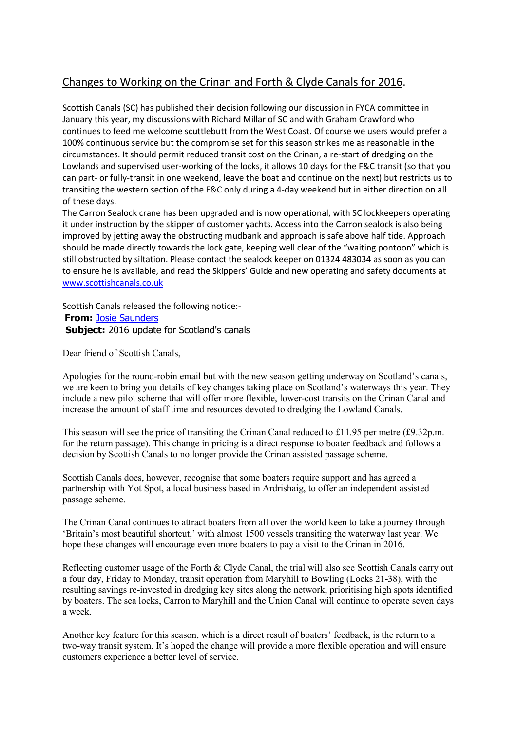## Changes to Working on the Crinan and Forth & Clyde Canals for 2016.

Scottish Canals (SC) has published their decision following our discussion in FYCA committee in January this year, my discussions with Richard Millar of SC and with Graham Crawford who continues to feed me welcome scuttlebutt from the West Coast. Of course we users would prefer a 100% continuous service but the compromise set for this season strikes me as reasonable in the circumstances. It should permit reduced transit cost on the Crinan, a re-start of dredging on the Lowlands and supervised user-working of the locks, it allows 10 days for the F&C transit (so that you can part- or fully-transit in one weekend, leave the boat and continue on the next) but restricts us to transiting the western section of the F&C only during a 4-day weekend but in either direction on all of these days.

The Carron Sealock crane has been upgraded and is now operational, with SC lockkeepers operating it under instruction by the skipper of customer yachts. Access into the Carron sealock is also being improved by jetting away the obstructing mudbank and approach is safe above half tide. Approach should be made directly towards the lock gate, keeping well clear of the "waiting pontoon" which is still obstructed by siltation. Please contact the sealock keeper on 01324 483034 as soon as you can to ensure he is available, and read the Skippers' Guide and new operating and safety documents at www.scottishcanals.co.uk

Scottish Canals released the following notice:- From: Josie Saunders **Subject:** 2016 update for Scotland's canals

Dear friend of Scottish Canals,

Apologies for the round-robin email but with the new season getting underway on Scotland's canals, we are keen to bring you details of key changes taking place on Scotland's waterways this year. They include a new pilot scheme that will offer more flexible, lower-cost transits on the Crinan Canal and increase the amount of staff time and resources devoted to dredging the Lowland Canals.

This season will see the price of transiting the Crinan Canal reduced to £11.95 per metre (£9.32p.m. for the return passage). This change in pricing is a direct response to boater feedback and follows a decision by Scottish Canals to no longer provide the Crinan assisted passage scheme.

Scottish Canals does, however, recognise that some boaters require support and has agreed a partnership with Yot Spot, a local business based in Ardrishaig, to offer an independent assisted passage scheme.

The Crinan Canal continues to attract boaters from all over the world keen to take a journey through 'Britain's most beautiful shortcut,' with almost 1500 vessels transiting the waterway last year. We hope these changes will encourage even more boaters to pay a visit to the Crinan in 2016.

Reflecting customer usage of the Forth & Clyde Canal, the trial will also see Scottish Canals carry out a four day, Friday to Monday, transit operation from Maryhill to Bowling (Locks 21-38), with the resulting savings re-invested in dredging key sites along the network, prioritising high spots identified by boaters. The sea locks, Carron to Maryhill and the Union Canal will continue to operate seven days a week.

Another key feature for this season, which is a direct result of boaters' feedback, is the return to a two-way transit system. It's hoped the change will provide a more flexible operation and will ensure customers experience a better level of service.